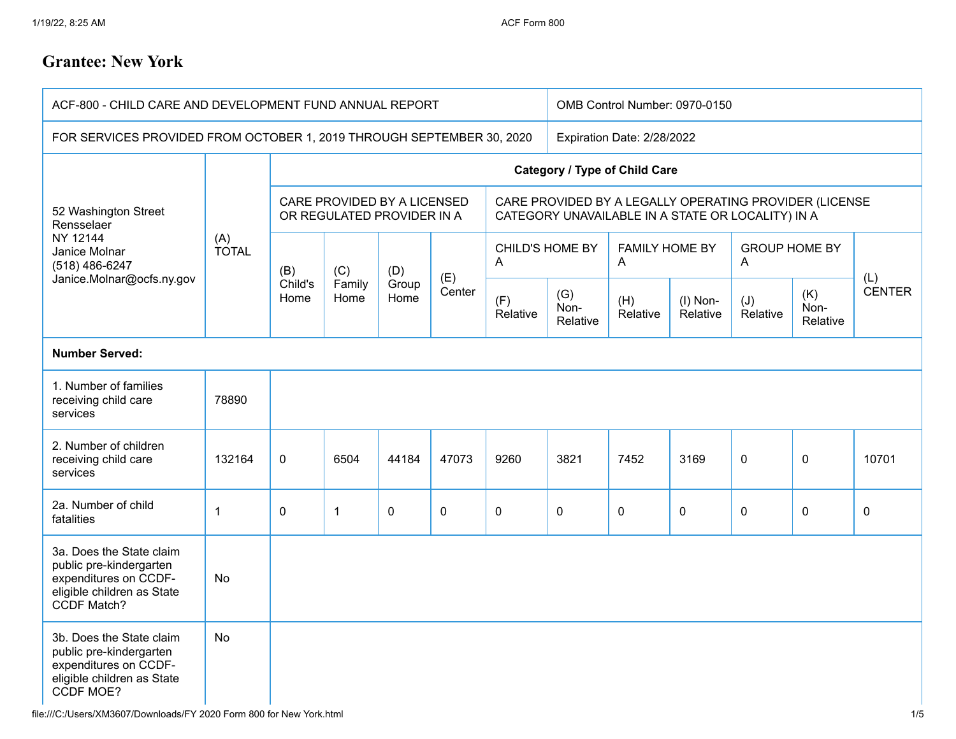## **Grantee: New York**

| ACF-800 - CHILD CARE AND DEVELOPMENT FUND ANNUAL REPORT                                                                        |              |                                                           |                       |                      |                            | OMB Control Number: 0970-0150                                                                               |                         |                            |                      |                           |                         |                      |
|--------------------------------------------------------------------------------------------------------------------------------|--------------|-----------------------------------------------------------|-----------------------|----------------------|----------------------------|-------------------------------------------------------------------------------------------------------------|-------------------------|----------------------------|----------------------|---------------------------|-------------------------|----------------------|
| FOR SERVICES PROVIDED FROM OCTOBER 1, 2019 THROUGH SEPTEMBER 30, 2020                                                          |              |                                                           |                       |                      | Expiration Date: 2/28/2022 |                                                                                                             |                         |                            |                      |                           |                         |                      |
| 52 Washington Street<br>Rensselaer<br>NY 12144<br>Janice Molnar<br>(518) 486-6247<br>Janice.Molnar@ocfs.ny.gov                 | (A)<br>TOTAL | <b>Category / Type of Child Care</b>                      |                       |                      |                            |                                                                                                             |                         |                            |                      |                           |                         |                      |
|                                                                                                                                |              | CARE PROVIDED BY A LICENSED<br>OR REGULATED PROVIDER IN A |                       |                      |                            | CARE PROVIDED BY A LEGALLY OPERATING PROVIDER (LICENSE<br>CATEGORY UNAVAILABLE IN A STATE OR LOCALITY) IN A |                         |                            |                      |                           |                         |                      |
|                                                                                                                                |              | (B)<br>Child's<br>Home                                    | (C)<br>Family<br>Home | (D)<br>Group<br>Home | (E)<br>Center              | CHILD'S HOME BY<br>A                                                                                        |                         | <b>FAMILY HOME BY</b><br>A |                      | <b>GROUP HOME BY</b><br>A |                         |                      |
|                                                                                                                                |              |                                                           |                       |                      |                            | (F)<br>Relative                                                                                             | (G)<br>Non-<br>Relative | (H)<br>Relative            | (I) Non-<br>Relative | (J)<br>Relative           | (K)<br>Non-<br>Relative | (L)<br><b>CENTER</b> |
| <b>Number Served:</b>                                                                                                          |              |                                                           |                       |                      |                            |                                                                                                             |                         |                            |                      |                           |                         |                      |
| 1. Number of families<br>receiving child care<br>services                                                                      | 78890        |                                                           |                       |                      |                            |                                                                                                             |                         |                            |                      |                           |                         |                      |
| 2. Number of children<br>receiving child care<br>services                                                                      | 132164       | $\pmb{0}$                                                 | 6504                  | 44184                | 47073                      | 9260                                                                                                        | 3821                    | 7452                       | 3169                 | $\mathbf 0$               | $\mathbf 0$             | 10701                |
| 2a. Number of child<br>fatalities                                                                                              | $\mathbf{1}$ | 0                                                         | $\mathbf{1}$          | $\mathbf 0$          | 0                          | $\mathbf 0$                                                                                                 | $\mathbf{0}$            | $\mathbf 0$                | 0                    | $\Omega$                  | $\mathbf 0$             | 0                    |
| 3a. Does the State claim<br>public pre-kindergarten<br>expenditures on CCDF-<br>eligible children as State<br>CCDF Match?      | No           |                                                           |                       |                      |                            |                                                                                                             |                         |                            |                      |                           |                         |                      |
| 3b. Does the State claim<br>public pre-kindergarten<br>expenditures on CCDF-<br>eligible children as State<br><b>CCDF MOE?</b> | <b>No</b>    |                                                           |                       |                      |                            |                                                                                                             |                         |                            |                      |                           |                         |                      |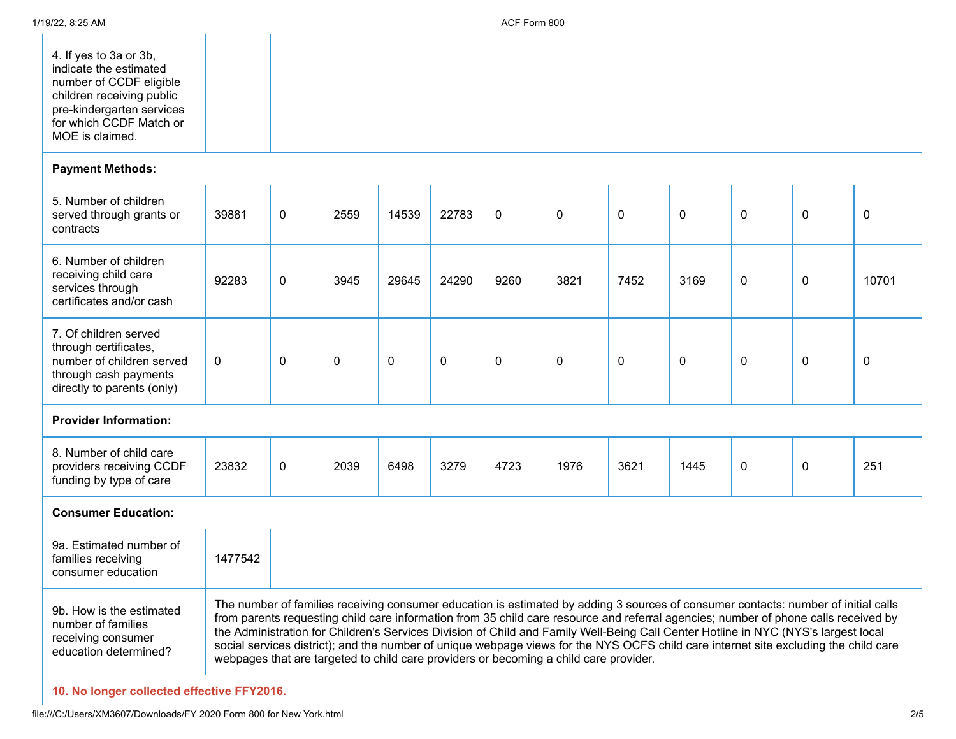| 4. If yes to 3a or 3b,    |  |  |  |  |
|---------------------------|--|--|--|--|
| indicate the estimated    |  |  |  |  |
| number of CCDF eligible   |  |  |  |  |
| children receiving public |  |  |  |  |
| pre-kindergarten services |  |  |  |  |
| for which CCDF Match or   |  |  |  |  |
|                           |  |  |  |  |
| MOE is claimed.           |  |  |  |  |
|                           |  |  |  |  |

## **Payment Methods:**

| 5. Number of children<br>served through grants or<br>contracts                                                                     | 39881        | 0 | 2559 | 14539 | 22783 | $\mathbf{0}$ | $\mathbf{0}$ | 0    | 0    | $\mathbf 0$ | 0                                                                                                                                                                                                                                                                                                                                                                                                               | $\mathbf 0$ |
|------------------------------------------------------------------------------------------------------------------------------------|--------------|---|------|-------|-------|--------------|--------------|------|------|-------------|-----------------------------------------------------------------------------------------------------------------------------------------------------------------------------------------------------------------------------------------------------------------------------------------------------------------------------------------------------------------------------------------------------------------|-------------|
| 6. Number of children<br>receiving child care<br>services through<br>certificates and/or cash                                      | 92283        | 0 | 3945 | 29645 | 24290 | 9260         | 3821         | 7452 | 3169 | 0           | 0                                                                                                                                                                                                                                                                                                                                                                                                               | 10701       |
| 7. Of children served<br>through certificates,<br>number of children served<br>through cash payments<br>directly to parents (only) | $\mathbf{0}$ | 0 | 0    | 0     | 0     | 0            | 0            | 0    | 0    | 0           | 0                                                                                                                                                                                                                                                                                                                                                                                                               | 0           |
| <b>Provider Information:</b>                                                                                                       |              |   |      |       |       |              |              |      |      |             |                                                                                                                                                                                                                                                                                                                                                                                                                 |             |
| 8. Number of child care<br>providers receiving CCDF<br>funding by type of care                                                     | 23832        | 0 | 2039 | 6498  | 3279  | 4723         | 1976         | 3621 | 1445 | $\mathbf 0$ | $\mathbf{0}$                                                                                                                                                                                                                                                                                                                                                                                                    | 251         |
| <b>Consumer Education:</b>                                                                                                         |              |   |      |       |       |              |              |      |      |             |                                                                                                                                                                                                                                                                                                                                                                                                                 |             |
| 9a. Estimated number of<br>families receiving<br>consumer education                                                                | 1477542      |   |      |       |       |              |              |      |      |             |                                                                                                                                                                                                                                                                                                                                                                                                                 |             |
| 9b. How is the estimated<br>number of families                                                                                     |              |   |      |       |       |              |              |      |      |             | The number of families receiving consumer education is estimated by adding 3 sources of consumer contacts: number of initial calls<br>from parents requesting child care information from 35 child care resource and referral agencies; number of phone calls received by<br>the Administration for Children's Services Division of Child and Family Well-Reing Call Center Hotline in NYC (NYS's largest local |             |

receiving consumer education determined? the Administration for Children's Services Division of Child and Family Well-Being Call Center Hotline in NYC (NYS's largest local social services district); and the number of unique webpage views for the NYS OCFS child care internet site excluding the child care webpages that are targeted to child care providers or becoming a child care provider.

**10. No longer collected effective FFY2016.**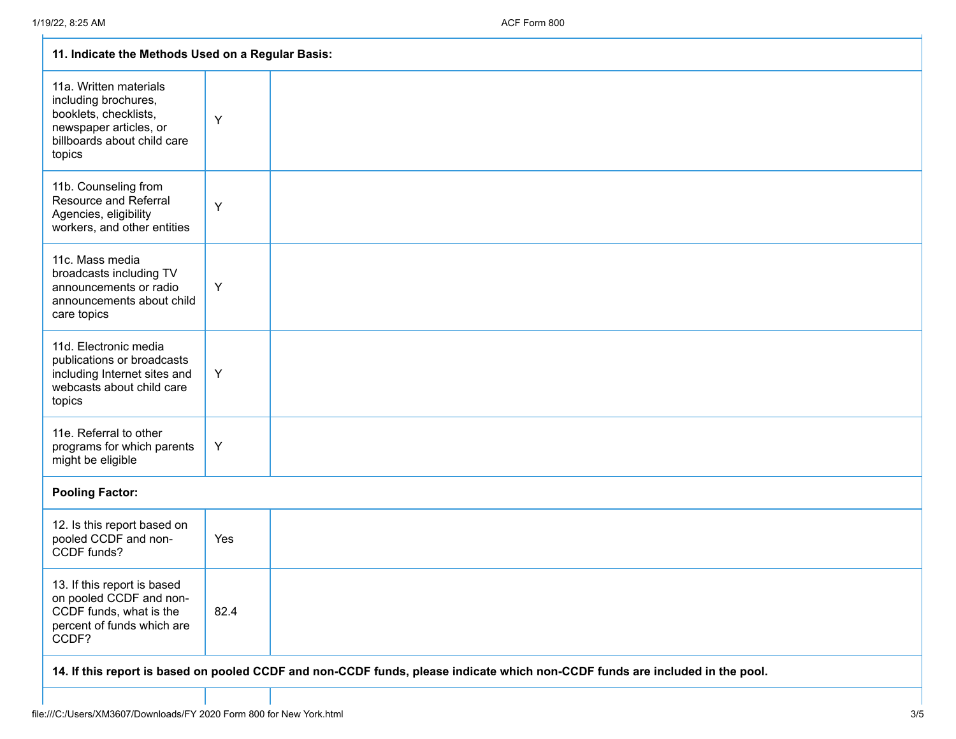| 11. Indicate the Methods Used on a Regular Basis:                                                                                          |      |  |  |  |  |
|--------------------------------------------------------------------------------------------------------------------------------------------|------|--|--|--|--|
| 11a. Written materials<br>including brochures,<br>booklets, checklists,<br>newspaper articles, or<br>billboards about child care<br>topics | Y    |  |  |  |  |
| 11b. Counseling from<br><b>Resource and Referral</b><br>Agencies, eligibility<br>workers, and other entities                               | Y    |  |  |  |  |
| 11c. Mass media<br>broadcasts including TV<br>announcements or radio<br>announcements about child<br>care topics                           | Y    |  |  |  |  |
| 11d. Electronic media<br>publications or broadcasts<br>including Internet sites and<br>webcasts about child care<br>topics                 | Y    |  |  |  |  |
| 11e. Referral to other<br>programs for which parents<br>might be eligible                                                                  | Y    |  |  |  |  |
| <b>Pooling Factor:</b>                                                                                                                     |      |  |  |  |  |
| 12. Is this report based on<br>pooled CCDF and non-<br>CCDF funds?                                                                         | Yes  |  |  |  |  |
| 13. If this report is based<br>on pooled CCDF and non-<br>CCDF funds, what is the<br>percent of funds which are<br>CCDF?                   | 82.4 |  |  |  |  |
| 14. If this report is based on pooled CCDF and non-CCDF funds, please indicate which non-CCDF funds are included in the pool.              |      |  |  |  |  |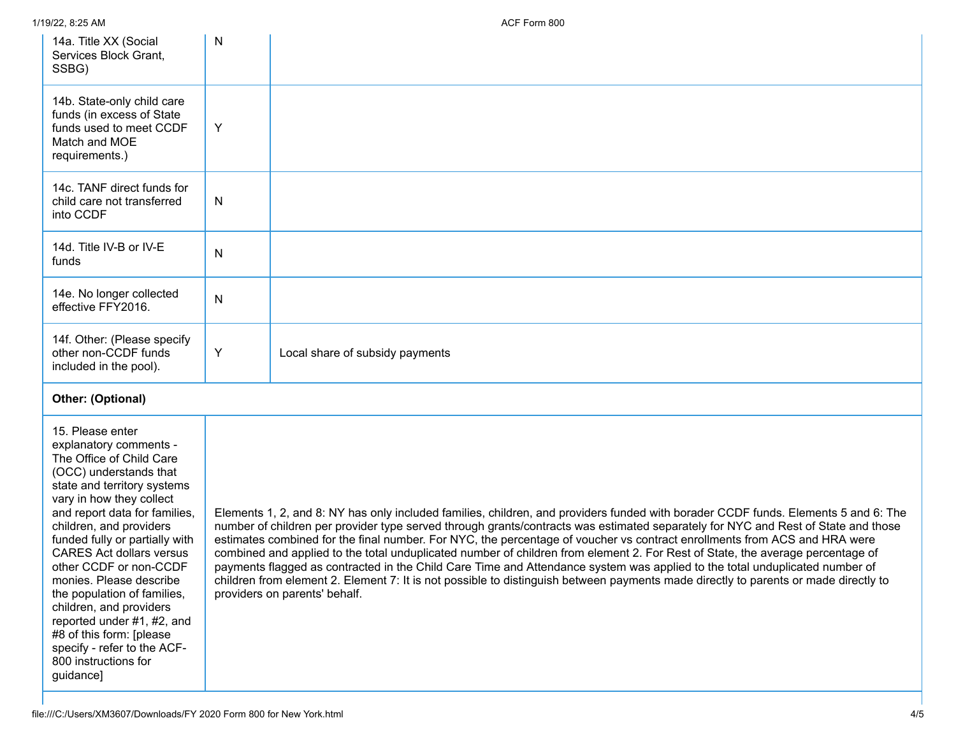| 1/19/22, 8:25 AM                                                                                                                                                                                                                                                                                                                                                                                                                                                      |              | ACF Form 800                                                                                                                                                                                                                                                                                                                                                                                                                                                                                                                                                                                                                                                                                                                                                                                                                                  |
|-----------------------------------------------------------------------------------------------------------------------------------------------------------------------------------------------------------------------------------------------------------------------------------------------------------------------------------------------------------------------------------------------------------------------------------------------------------------------|--------------|-----------------------------------------------------------------------------------------------------------------------------------------------------------------------------------------------------------------------------------------------------------------------------------------------------------------------------------------------------------------------------------------------------------------------------------------------------------------------------------------------------------------------------------------------------------------------------------------------------------------------------------------------------------------------------------------------------------------------------------------------------------------------------------------------------------------------------------------------|
| 14a. Title XX (Social<br>Services Block Grant,<br>SSBG)                                                                                                                                                                                                                                                                                                                                                                                                               | N            |                                                                                                                                                                                                                                                                                                                                                                                                                                                                                                                                                                                                                                                                                                                                                                                                                                               |
| 14b. State-only child care<br>funds (in excess of State<br>funds used to meet CCDF<br>Match and MOE<br>requirements.)                                                                                                                                                                                                                                                                                                                                                 | Y            |                                                                                                                                                                                                                                                                                                                                                                                                                                                                                                                                                                                                                                                                                                                                                                                                                                               |
| 14c. TANF direct funds for<br>child care not transferred<br>into CCDF                                                                                                                                                                                                                                                                                                                                                                                                 | N            |                                                                                                                                                                                                                                                                                                                                                                                                                                                                                                                                                                                                                                                                                                                                                                                                                                               |
| 14d. Title IV-B or IV-E<br>funds                                                                                                                                                                                                                                                                                                                                                                                                                                      | $\mathsf{N}$ |                                                                                                                                                                                                                                                                                                                                                                                                                                                                                                                                                                                                                                                                                                                                                                                                                                               |
| 14e. No longer collected<br>effective FFY2016.                                                                                                                                                                                                                                                                                                                                                                                                                        | $\mathsf{N}$ |                                                                                                                                                                                                                                                                                                                                                                                                                                                                                                                                                                                                                                                                                                                                                                                                                                               |
| 14f. Other: (Please specify<br>other non-CCDF funds<br>included in the pool).                                                                                                                                                                                                                                                                                                                                                                                         | Υ            | Local share of subsidy payments                                                                                                                                                                                                                                                                                                                                                                                                                                                                                                                                                                                                                                                                                                                                                                                                               |
| Other: (Optional)                                                                                                                                                                                                                                                                                                                                                                                                                                                     |              |                                                                                                                                                                                                                                                                                                                                                                                                                                                                                                                                                                                                                                                                                                                                                                                                                                               |
| 15. Please enter<br>explanatory comments -<br>The Office of Child Care<br>(OCC) understands that<br>state and territory systems<br>vary in how they collect<br>and report data for families,<br>children, and providers<br>funded fully or partially with<br><b>CARES Act dollars versus</b><br>other CCDF or non-CCDF<br>monies. Please describe<br>the population of families,<br>children, and providers<br>reported under #1, #2, and<br>#8 of this form: [please |              | Elements 1, 2, and 8: NY has only included families, children, and providers funded with borader CCDF funds. Elements 5 and 6: The<br>number of children per provider type served through grants/contracts was estimated separately for NYC and Rest of State and those<br>estimates combined for the final number. For NYC, the percentage of voucher vs contract enrollments from ACS and HRA were<br>combined and applied to the total unduplicated number of children from element 2. For Rest of State, the average percentage of<br>payments flagged as contracted in the Child Care Time and Attendance system was applied to the total unduplicated number of<br>children from element 2. Element 7: It is not possible to distinguish between payments made directly to parents or made directly to<br>providers on parents' behalf. |

specify - refer to the ACF-800 instructions for

guidance]